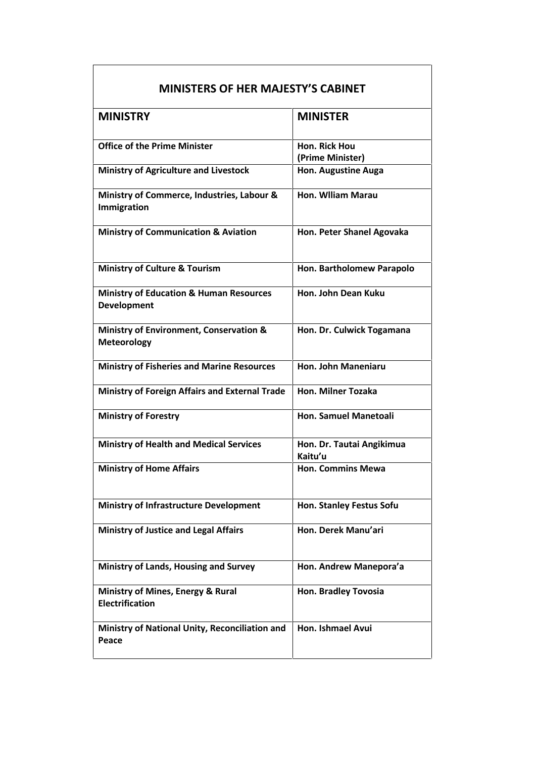| <b>MINISTERS OF HER MAJESTY'S CABINET</b>                                |                                      |  |
|--------------------------------------------------------------------------|--------------------------------------|--|
| <b>MINISTRY</b>                                                          | <b>MINISTER</b>                      |  |
| <b>Office of the Prime Minister</b>                                      | Hon. Rick Hou<br>(Prime Minister)    |  |
| <b>Ministry of Agriculture and Livestock</b>                             | Hon. Augustine Auga                  |  |
| Ministry of Commerce, Industries, Labour &<br>Immigration                | Hon. Wiliam Marau                    |  |
| <b>Ministry of Communication &amp; Aviation</b>                          | Hon. Peter Shanel Agovaka            |  |
| <b>Ministry of Culture &amp; Tourism</b>                                 | Hon. Bartholomew Parapolo            |  |
| <b>Ministry of Education &amp; Human Resources</b><br><b>Development</b> | Hon. John Dean Kuku                  |  |
| <b>Ministry of Environment, Conservation &amp;</b><br><b>Meteorology</b> | Hon. Dr. Culwick Togamana            |  |
| <b>Ministry of Fisheries and Marine Resources</b>                        | <b>Hon. John Maneniaru</b>           |  |
| <b>Ministry of Foreign Affairs and External Trade</b>                    | <b>Hon. Milner Tozaka</b>            |  |
| <b>Ministry of Forestry</b>                                              | <b>Hon. Samuel Manetoali</b>         |  |
| <b>Ministry of Health and Medical Services</b>                           | Hon. Dr. Tautai Angikimua<br>Kaitu'u |  |
| <b>Ministry of Home Affairs</b>                                          | <b>Hon. Commins Mewa</b>             |  |
| <b>Ministry of Infrastructure Development</b>                            | Hon. Stanley Festus Sofu             |  |
| <b>Ministry of Justice and Legal Affairs</b>                             | Hon. Derek Manu'ari                  |  |
| <b>Ministry of Lands, Housing and Survey</b>                             | Hon. Andrew Manepora'a               |  |
| Ministry of Mines, Energy & Rural<br><b>Electrification</b>              | Hon. Bradley Tovosia                 |  |
| Ministry of National Unity, Reconciliation and<br>Peace                  | Hon. Ishmael Avui                    |  |